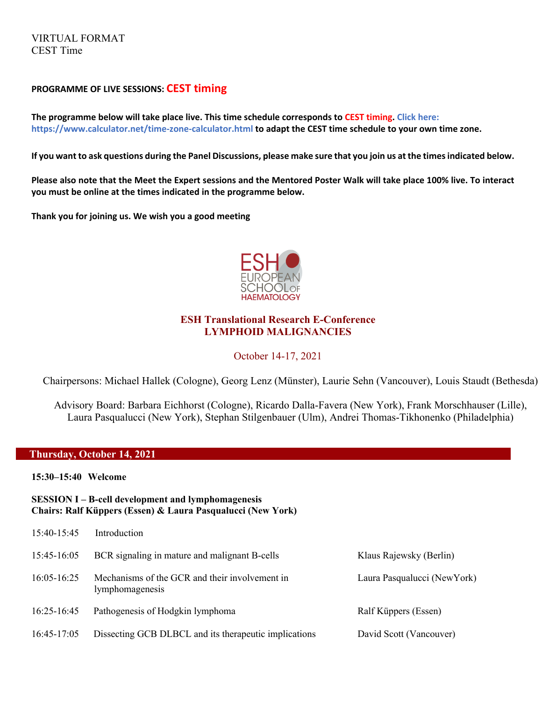VIRTUAL FORMAT CEST Time

## **PROGRAMME OF LIVE SESSIONS: CEST timing**

**The programme below will take place live. This time schedule corresponds to CEST timing. Click here: https://www.calculator.net/time-zone-calculator.html to adapt the CEST time schedule to your own time zone.** 

**If you want to ask questions during the Panel Discussions, please make sure that you join us at the times indicated below.** 

**Please also note that the Meet the Expert sessions and the Mentored Poster Walk will take place 100% live. To interact you must be online at the times indicated in the programme below.** 

**Thank you for joining us. We wish you a good meeting** 



## **ESH Translational Research E-Conference LYMPHOID MALIGNANCIES**

### October 14-17, 2021

Chairpersons: Michael Hallek (Cologne), Georg Lenz (Münster), Laurie Sehn (Vancouver), Louis Staudt (Bethesda)

Advisory Board: Barbara Eichhorst (Cologne), Ricardo Dalla-Favera (New York), Frank Morschhauser (Lille), Laura Pasqualucci (New York), Stephan Stilgenbauer (Ulm), Andrei Thomas-Tikhonenko (Philadelphia)

#### **Thursday, October 14, 2021**

**15:30–15:40 Welcome** 

## **SESSION I – B-cell development and lymphomagenesis Chairs: Ralf Küppers (Essen) & Laura Pasqualucci (New York)**

| 15:40-15:45 | Introduction                                                      |                             |
|-------------|-------------------------------------------------------------------|-----------------------------|
| 15:45-16:05 | BCR signaling in mature and malignant B-cells                     | Klaus Rajewsky (Berlin)     |
| 16:05-16:25 | Mechanisms of the GCR and their involvement in<br>lymphomagenesis | Laura Pasqualucci (NewYork) |
| 16:25-16:45 | Pathogenesis of Hodgkin lymphoma                                  | Ralf Küppers (Essen)        |
| 16:45-17:05 | Dissecting GCB DLBCL and its therapeutic implications             | David Scott (Vancouver)     |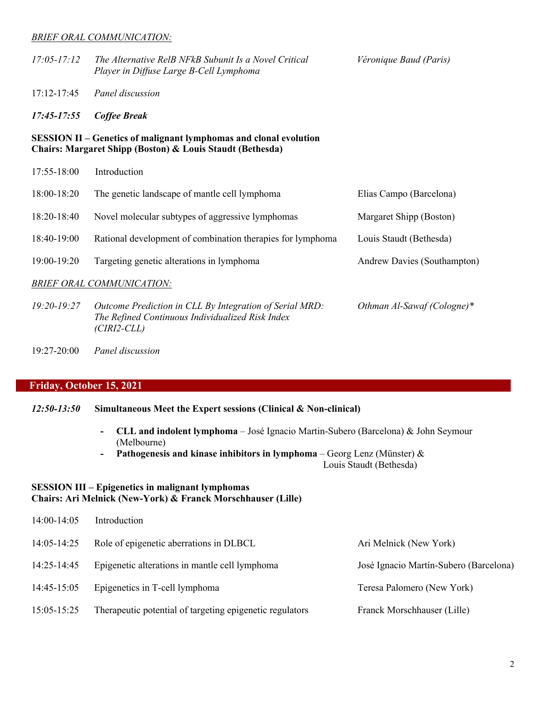#### *BRIEF ORAL COMMUNICATION:*

| $17:05 - 17:12$ | The Alternative RelB NFkB Subunit Is a Novel Critical<br>Player in Diffuse Large B-Cell Lymphoma                                      | Véronique Baud (Paris)      |
|-----------------|---------------------------------------------------------------------------------------------------------------------------------------|-----------------------------|
| $17:12-17:45$   | Panel discussion                                                                                                                      |                             |
| $17:45 - 17:55$ | <b>Coffee Break</b>                                                                                                                   |                             |
|                 | <b>SESSION II – Genetics of malignant lymphomas and clonal evolution</b><br>Chairs: Margaret Shipp (Boston) & Louis Staudt (Bethesda) |                             |
| 17:55-18:00     | Introduction                                                                                                                          |                             |
| 18:00-18:20     | The genetic landscape of mantle cell lymphoma                                                                                         | Elias Campo (Barcelona)     |
| 18:20-18:40     | Novel molecular subtypes of aggressive lymphomas                                                                                      | Margaret Shipp (Boston)     |
| 18:40-19:00     | Rational development of combination therapies for lymphoma                                                                            | Louis Staudt (Bethesda)     |
| 19:00-19:20     | Targeting genetic alterations in lymphoma                                                                                             | Andrew Davies (Southampton) |
|                 | <b>BRIEF ORAL COMMUNICATION:</b>                                                                                                      |                             |
| $19:20 - 19:27$ | Outcome Prediction in CLL By Integration of Serial MRD:<br>The Refined Continuous Individualized Risk Index                           | Othman Al-Sawaf (Cologne)*  |

19:27-20:00 *Panel discussion*

 *(CIRI2-CLL)*

# **Friday, October 15, 2021**

- *12:50-13:50* **Simultaneous Meet the Expert sessions (Clinical & Non-clinical)**
	- **- CLL and indolent lymphoma** José Ignacio Martin-Subero (Barcelona) & John Seymour (Melbourne)
	- **- Pathogenesis and kinase inhibitors in lymphoma** Georg Lenz (Münster) &

Louis Staudt (Bethesda)

## **SESSION III – Epigenetics in malignant lymphomas Chairs: Ari Melnick (New-York) & Franck Morschhauser (Lille)**

| 14:00-14:05 | Introduction                                             |                                        |
|-------------|----------------------------------------------------------|----------------------------------------|
| 14:05-14:25 | Role of epigenetic aberrations in DLBCL                  | Ari Melnick (New York)                 |
| 14:25-14:45 | Epigenetic alterations in mantle cell lymphoma           | José Ignacio Martín-Subero (Barcelona) |
| 14:45-15:05 | Epigenetics in T-cell lymphoma                           | Teresa Palomero (New York)             |
| 15:05-15:25 | Therapeutic potential of targeting epigenetic regulators | Franck Morschhauser (Lille)            |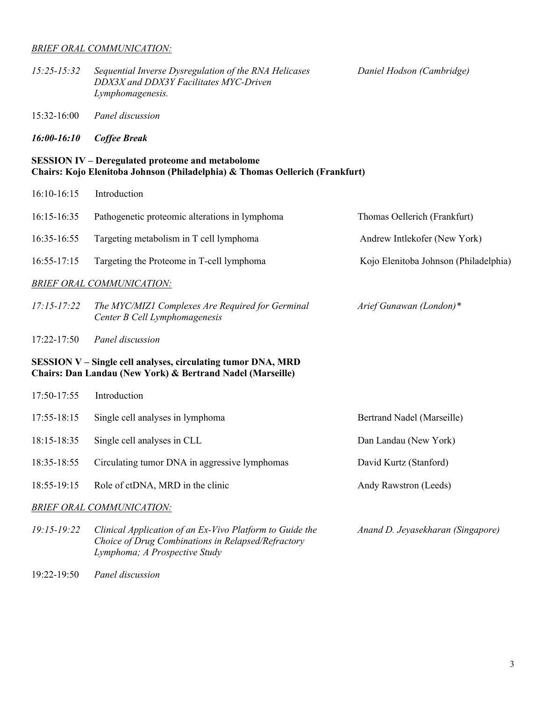### *BRIEF ORAL COMMUNICATION:*

| 15:25-15:32 | Sequential Inverse Dysregulation of the RNA Helicases |  |
|-------------|-------------------------------------------------------|--|
|             | DDX3X and DDX3Y Facilitates MYC-Driven                |  |
|             | Lymphomagenesis.                                      |  |

*15:25-15:32 Sequential Inverse Dysregulation of the RNA Helicases Daniel Hodson (Cambridge)*

- 15:32-16:00 *Panel discussion*
- *16:00-16:10 Coffee Break*

## **SESSION IV – Deregulated proteome and metabolome Chairs: Kojo Elenitoba Johnson (Philadelphia) & Thomas Oellerich (Frankfurt)**

| 16:10-16:15 | Introduction |
|-------------|--------------|
|-------------|--------------|

| 16:15-16:35                                                                                                                | Pathogenetic proteomic alterations in lymphoma                                                                                                  | Thomas Oellerich (Frankfurt)          |  |
|----------------------------------------------------------------------------------------------------------------------------|-------------------------------------------------------------------------------------------------------------------------------------------------|---------------------------------------|--|
| 16:35-16:55                                                                                                                | Targeting metabolism in T cell lymphoma                                                                                                         | Andrew Intlekofer (New York)          |  |
| 16:55-17:15                                                                                                                | Targeting the Proteome in T-cell lymphoma                                                                                                       | Kojo Elenitoba Johnson (Philadelphia) |  |
|                                                                                                                            | <b>BRIEF ORAL COMMUNICATION:</b>                                                                                                                |                                       |  |
| $17:15 - 17:22$                                                                                                            | The MYC/MIZ1 Complexes Are Required for Germinal<br>Center B Cell Lymphomagenesis                                                               | Arief Gunawan (London)*               |  |
| 17:22-17:50                                                                                                                | Panel discussion                                                                                                                                |                                       |  |
| SESSION V - Single cell analyses, circulating tumor DNA, MRD<br>Chairs: Dan Landau (New York) & Bertrand Nadel (Marseille) |                                                                                                                                                 |                                       |  |
| 17:50-17:55                                                                                                                | Introduction                                                                                                                                    |                                       |  |
| 17:55-18:15                                                                                                                | Single cell analyses in lymphoma                                                                                                                | Bertrand Nadel (Marseille)            |  |
| 18:15-18:35                                                                                                                | Single cell analyses in CLL                                                                                                                     | Dan Landau (New York)                 |  |
| 18:35-18:55                                                                                                                | Circulating tumor DNA in aggressive lymphomas                                                                                                   | David Kurtz (Stanford)                |  |
| 18:55-19:15                                                                                                                | Role of ctDNA, MRD in the clinic                                                                                                                | Andy Rawstron (Leeds)                 |  |
|                                                                                                                            | <b>BRIEF ORAL COMMUNICATION:</b>                                                                                                                |                                       |  |
| $19:15 - 19:22$                                                                                                            | Clinical Application of an Ex-Vivo Platform to Guide the<br>Choice of Drug Combinations in Relapsed/Refractory<br>Lymphoma; A Prospective Study | Anand D. Jeyasekharan (Singapore)     |  |

19:22-19:50 *Panel discussion*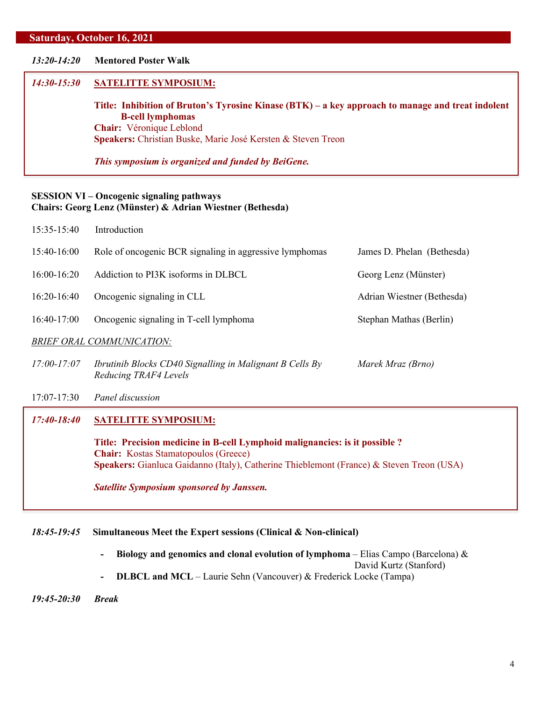#### **Saturday, October 16, 2021**

## *13:20-14:20* **Mentored Poster Walk**

#### *14:30-15:30* **SATELITTE SYMPOSIUM:**

**Title: Inhibition of Bruton's Tyrosine Kinase (BTK) – a key approach to manage and treat indolent B-cell lymphomas Chair:** Véronique Leblond **Speakers:** Christian Buske, Marie José Kersten & Steven Treon

*This symposium is organized and funded by BeiGene.*

## **SESSION VI – Oncogenic signaling pathways Chairs: Georg Lenz (Münster) & Adrian Wiestner (Bethesda)**

| 15:35-15:40                      | Introduction                                                                      |                            |
|----------------------------------|-----------------------------------------------------------------------------------|----------------------------|
| $15:40-16:00$                    | Role of oncogenic BCR signaling in aggressive lymphomas                           | James D. Phelan (Bethesda) |
| $16:00-16:20$                    | Addiction to PI3K isoforms in DLBCL                                               | Georg Lenz (Münster)       |
| $16:20-16:40$                    | Oncogenic signaling in CLL                                                        | Adrian Wiestner (Bethesda) |
| 16:40-17:00                      | Oncogenic signaling in T-cell lymphoma                                            | Stephan Mathas (Berlin)    |
| <b>BRIEF ORAL COMMUNICATION:</b> |                                                                                   |                            |
| $17:00 - 17:07$                  | Ibrutinib Blocks CD40 Signalling in Malignant B Cells By<br>Reducing TRAF4 Levels | Marek Mraz (Brno)          |

17:07-17:30 *Panel discussion*

## *17:40-18:40* **SATELITTE SYMPOSIUM:**

**Title: Precision medicine in B-cell Lymphoid malignancies: is it possible ? Chair:** Kostas Stamatopoulos (Greece) **Speakers:** Gianluca Gaidanno (Italy), Catherine Thieblemont (France) & Steven Treon (USA)

*Satellite Symposium sponsored by Janssen.*

## *18:45-19:45* **Simultaneous Meet the Expert sessions (Clinical & Non-clinical)**

**- Biology and genomics and clonal evolution of lymphoma** – Elias Campo (Barcelona) & David Kurtz (Stanford) **- DLBCL and MCL** – Laurie Sehn (Vancouver) & Frederick Locke (Tampa)

*19:45-20:30 Break*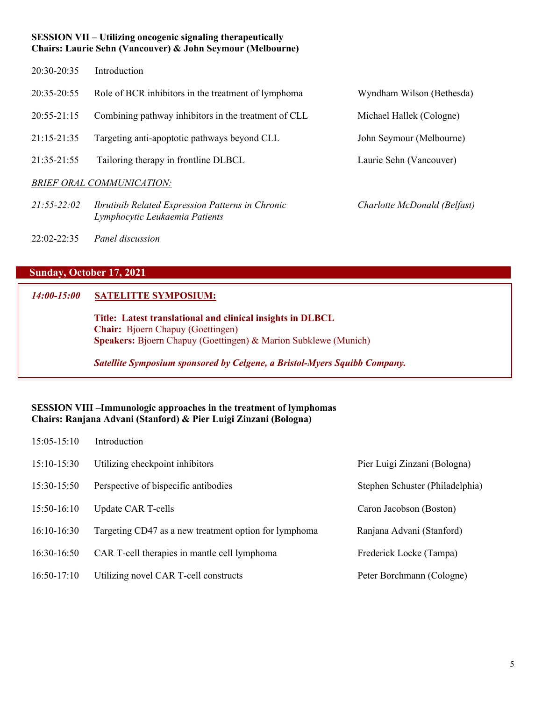## **SESSION VII – Utilizing oncogenic signaling therapeutically Chairs: Laurie Sehn (Vancouver) & John Seymour (Melbourne)**

- 20:30-20:35 Introduction
- $20:35-20:55$  Role of BCR inhibitors in the treatment of lymphoma  $20:55-21:15$  Combining pathway inhibitors in the treatment of CLL
- $21:15-21:35$  Targeting anti-apoptotic pathways beyond CLL
- $21:35-21:55$  Tailoring therapy in frontline DLBCL

## *BRIEF ORAL COMMUNICATION:*

- *21:55-22:02 Ibrutinib Related Expression Patterns in Chronic Charlotte McDonald (Belfast) Lymphocytic Leukaemia Patients*
- 22:02-22:35*Panel discussion*

# **Sunday, October 17, 2021**

## *14:00-15:00* **SATELITTE SYMPOSIUM:**

**Title: Latest translational and clinical insights in DLBCL Chair:** Bjoern Chapuy (Goettingen) **Speakers:** Bjoern Chapuy (Goettingen) & Marion Subklewe (Munich)

*Satellite Symposium sponsored by Celgene, a Bristol-Myers Squibb Company.*

## **SESSION VIII –Immunologic approaches in the treatment of lymphomas Chairs: Ranjana Advani (Stanford) & Pier Luigi Zinzani (Bologna)**

| $15:05-15:10$ | Introduction                                          |                                 |
|---------------|-------------------------------------------------------|---------------------------------|
| $15:10-15:30$ | Utilizing checkpoint inhibitors                       | Pier Luigi Zinzani (Bologna)    |
| 15:30-15:50   | Perspective of bispecific antibodies                  | Stephen Schuster (Philadelphia) |
| 15:50-16:10   | <b>Update CAR T-cells</b>                             | Caron Jacobson (Boston)         |
| $16:10-16:30$ | Targeting CD47 as a new treatment option for lymphoma | Ranjana Advani (Stanford)       |
| 16:30-16:50   | CAR T-cell therapies in mantle cell lymphoma          | Frederick Locke (Tampa)         |
| $16:50-17:10$ | Utilizing novel CAR T-cell constructs                 | Peter Borchmann (Cologne)       |

| Wyndham Wilson (Bethesda) |
|---------------------------|
| Michael Hallek (Cologne)  |
| John Seymour (Melbourne)  |
| Laurie Sehn (Vancouver)   |